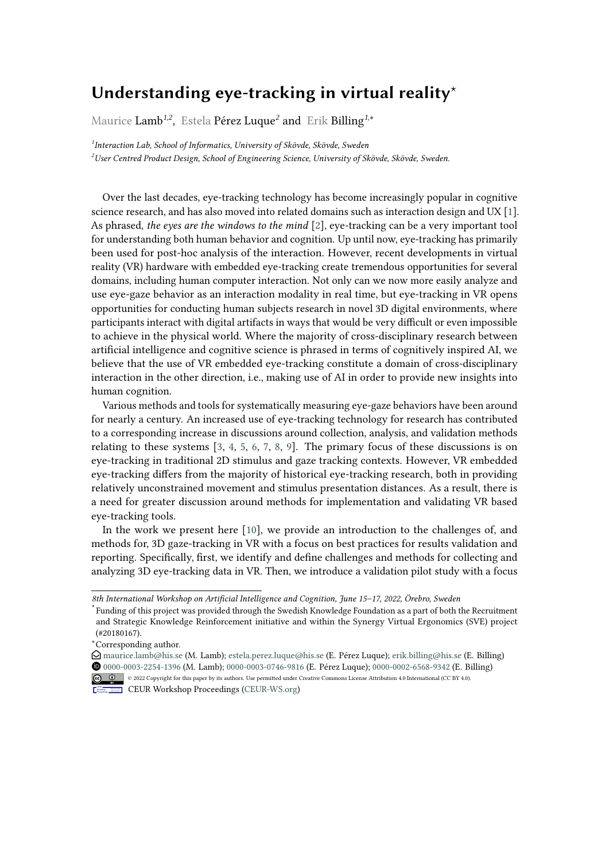## Understanding eye-tracking in virtual reality<sup>\*</sup>

Maurice Lamb*1,2* , Estela Pérez Luque*<sup>2</sup>* and Erik Billing*<sup>1</sup>*,\*

*1 Interaction Lab, School of Informatics, University of Skövde, Skövde, Sweden <sup>2</sup>User Centred Product Design, School of Engineering Science, University of Skövde, Skövde, Sweden.*

Over the last decades, eye-tracking technology has become increasingly popular in cognitive science research, and has also moved into related domains such as interaction design and UX [\[1\]](#page-1-0). As phrased, *the eyes are the windows to the mind* [\[2\]](#page-1-1), eye-tracking can be a very important tool for understanding both human behavior and cognition. Up until now, eye-tracking has primarily been used for post-hoc analysis of the interaction. However, recent developments in virtual reality (VR) hardware with embedded eye-tracking create tremendous opportunities for several domains, including human computer interaction. Not only can we now more easily analyze and use eye-gaze behavior as an interaction modality in real time, but eye-tracking in VR opens opportunities for conducting human subjects research in novel 3D digital environments, where participants interact with digital artifacts in ways that would be very difficult or even impossible to achieve in the physical world. Where the majority of cross-disciplinary research between artificial intelligence and cognitive science is phrased in terms of cognitively inspired AI, we believe that the use of VR embedded eye-tracking constitute a domain of cross-disciplinary interaction in the other direction, i.e., making use of AI in order to provide new insights into human cognition.

Various methods and tools for systematically measuring eye-gaze behaviors have been around for nearly a century. An increased use of eye-tracking technology for research has contributed to a corresponding increase in discussions around collection, analysis, and validation methods relating to these systems  $[3, 4, 5, 6, 7, 8, 9]$  $[3, 4, 5, 6, 7, 8, 9]$  $[3, 4, 5, 6, 7, 8, 9]$  $[3, 4, 5, 6, 7, 8, 9]$  $[3, 4, 5, 6, 7, 8, 9]$  $[3, 4, 5, 6, 7, 8, 9]$  $[3, 4, 5, 6, 7, 8, 9]$  $[3, 4, 5, 6, 7, 8, 9]$  $[3, 4, 5, 6, 7, 8, 9]$  $[3, 4, 5, 6, 7, 8, 9]$  $[3, 4, 5, 6, 7, 8, 9]$  $[3, 4, 5, 6, 7, 8, 9]$  $[3, 4, 5, 6, 7, 8, 9]$ . The primary focus of these discussions is on eye-tracking in traditional 2D stimulus and gaze tracking contexts. However, VR embedded eye-tracking differs from the majority of historical eye-tracking research, both in providing relatively unconstrained movement and stimulus presentation distances. As a result, there is a need for greater discussion around methods for implementation and validating VR based eye-tracking tools.

In the work we present here [\[10\]](#page-1-9), we provide an introduction to the challenges of, and methods for, 3D gaze-tracking in VR with a focus on best practices for results validation and reporting. Specifically, first, we identify and define challenges and methods for collecting and analyzing 3D eye-tracking data in VR. Then, we introduce a validation pilot study with a focus

*<sup>8</sup>th International Workshop on Artificial Intelligence and Cognition, June 15–17, 2022, Örebro, Sweden*

<sup>⋆</sup> Funding of this project was provided through the Swedish Knowledge Foundation as a part of both the Recruitment and Strategic Knowledge Reinforcement initiative and within the Synergy Virtual Ergonomics (SVE) project (#20180167).

<sup>\*</sup>Corresponding author.

 $\bigcirc$  [maurice.lamb@his.se](mailto:maurice.lamb@his.se) (M. Lamb); [estela.perez.luque@his.se](mailto:estela.perez.luque@his.se) (E. Pérez Luque); [erik.billing@his.se](mailto:erik.billing@his.se) (E. Billing) [0000-0003-2254-1396](https://orcid.org/0000-0003-2254-1396) (M. Lamb); [0000-0003-0746-9816](https://orcid.org/0000-0003-0746-9816) (E. Pérez Luque); [0000-0002-6568-9342](https://orcid.org/0000-0002-6568-9342) (E. Billing) © 2022 Copyright for this paper by its authors. Use permitted under Creative Commons License Attribution 4.0 International (CC BY 4.0).

**CEUR Workshop [Proceedings](http://ceur-ws.org) [\(CEUR-WS.org\)](http://ceur-ws.org)**